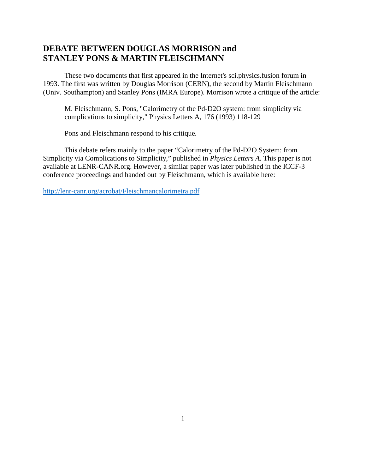# **DEBATE BETWEEN DOUGLAS MORRISON and STANLEY PONS & MARTIN FLEISCHMANN**

These two documents that first appeared in the Internet's sci.physics.fusion forum in 1993. The first was written by Douglas Morrison (CERN), the second by Martin Fleischmann (Univ. Southampton) and Stanley Pons (IMRA Europe). Morrison wrote a critique of the article:

M. Fleischmann, S. Pons, "Calorimetry of the Pd-D2O system: from simplicity via complications to simplicity," Physics Letters A, 176 (1993) 118-129

Pons and Fleischmann respond to his critique.

This debate refers mainly to the paper "Calorimetry of the Pd-D2O System: from Simplicity via Complications to Simplicity," published in *Physics Letters A*. This paper is not available at LENR-CANR.org. However, a similar paper was later published in the ICCF-3 conference proceedings and handed out by Fleischmann, which is available here:

<http://lenr-canr.org/acrobat/Fleischmancalorimetra.pdf>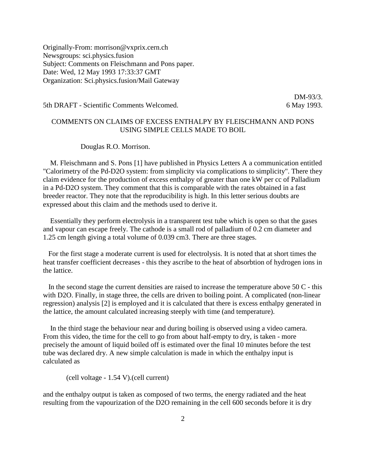Originally-From: morrison@vxprix.cern.ch Newsgroups: sci.physics.fusion Subject: Comments on Fleischmann and Pons paper. Date: Wed, 12 May 1993 17:33:37 GMT Organization: Sci.physics.fusion/Mail Gateway

5th DRAFT - Scientific Comments Welcomed. 6 May 1993.

DM-93/3.

## COMMENTS ON CLAIMS OF EXCESS ENTHALPY BY FLEISCHMANN AND PONS USING SIMPLE CELLS MADE TO BOIL

### Douglas R.O. Morrison.

 M. Fleischmann and S. Pons [1] have published in Physics Letters A a communication entitled "Calorimetry of the Pd-D2O system: from simplicity via complications to simplicity". There they claim evidence for the production of excess enthalpy of greater than one kW per cc of Palladium in a Pd-D2O system. They comment that this is comparable with the rates obtained in a fast breeder reactor. They note that the reproducibility is high. In this letter serious doubts are expressed about this claim and the methods used to derive it.

 Essentially they perform electrolysis in a transparent test tube which is open so that the gases and vapour can escape freely. The cathode is a small rod of palladium of 0.2 cm diameter and 1.25 cm length giving a total volume of 0.039 cm3. There are three stages.

 For the first stage a moderate current is used for electrolysis. It is noted that at short times the heat transfer coefficient decreases - this they ascribe to the heat of absorbtion of hydrogen ions in the lattice.

 In the second stage the current densities are raised to increase the temperature above 50 C - this with D2O. Finally, in stage three, the cells are driven to boiling point. A complicated (non-linear regression) analysis [2] is employed and it is calculated that there is excess enthalpy generated in the lattice, the amount calculated increasing steeply with time (and temperature).

 In the third stage the behaviour near and during boiling is observed using a video camera. From this video, the time for the cell to go from about half-empty to dry, is taken - more precisely the amount of liquid boiled off is estimated over the final 10 minutes before the test tube was declared dry. A new simple calculation is made in which the enthalpy input is calculated as

(cell voltage - 1.54 V).(cell current)

and the enthalpy output is taken as composed of two terms, the energy radiated and the heat resulting from the vapourization of the D2O remaining in the cell 600 seconds before it is dry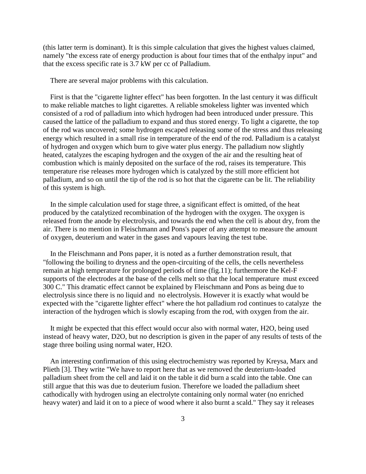(this latter term is dominant). It is this simple calculation that gives the highest values claimed, namely "the excess rate of energy production is about four times that of the enthalpy input" and that the excess specific rate is 3.7 kW per cc of Palladium.

There are several major problems with this calculation.

 First is that the "cigarette lighter effect" has been forgotten. In the last century it was difficult to make reliable matches to light cigarettes. A reliable smokeless lighter was invented which consisted of a rod of palladium into which hydrogen had been introduced under pressure. This caused the lattice of the palladium to expand and thus stored energy. To light a cigarette, the top of the rod was uncovered; some hydrogen escaped releasing some of the stress and thus releasing energy which resulted in a small rise in temperature of the end of the rod. Palladium is a catalyst of hydrogen and oxygen which burn to give water plus energy. The palladium now slightly heated, catalyzes the escaping hydrogen and the oxygen of the air and the resulting heat of combustion which is mainly deposited on the surface of the rod, raises its temperature. This temperature rise releases more hydrogen which is catalyzed by the still more efficient hot palladium, and so on until the tip of the rod is so hot that the cigarette can be lit. The reliability of this system is high.

 In the simple calculation used for stage three, a significant effect is omitted, of the heat produced by the catalytized recombination of the hydrogen with the oxygen. The oxygen is released from the anode by electrolysis, and towards the end when the cell is about dry, from the air. There is no mention in Fleischmann and Pons's paper of any attempt to measure the amount of oxygen, deuterium and water in the gases and vapours leaving the test tube.

 In the Fleischmann and Pons paper, it is noted as a further demonstration result, that "following the boiling to dryness and the open-circuiting of the cells, the cells nevertheless remain at high temperature for prolonged periods of time (fig.11); furthermore the Kel-F supports of the electrodes at the base of the cells melt so that the local temperature must exceed 300 C." This dramatic effect cannot be explained by Fleischmann and Pons as being due to electrolysis since there is no liquid and no electrolysis. However it is exactly what would be expected with the "cigarette lighter effect" where the hot palladium rod continues to catalyze the interaction of the hydrogen which is slowly escaping from the rod, with oxygen from the air.

 It might be expected that this effect would occur also with normal water, H2O, being used instead of heavy water, D2O, but no description is given in the paper of any results of tests of the stage three boiling using normal water, H2O.

 An interesting confirmation of this using electrochemistry was reported by Kreysa, Marx and Plieth [3]. They write "We have to report here that as we removed the deuterium-loaded palladium sheet from the cell and laid it on the table it did burn a scald into the table. One can still argue that this was due to deuterium fusion. Therefore we loaded the palladium sheet cathodically with hydrogen using an electrolyte containing only normal water (no enriched heavy water) and laid it on to a piece of wood where it also burnt a scald." They say it releases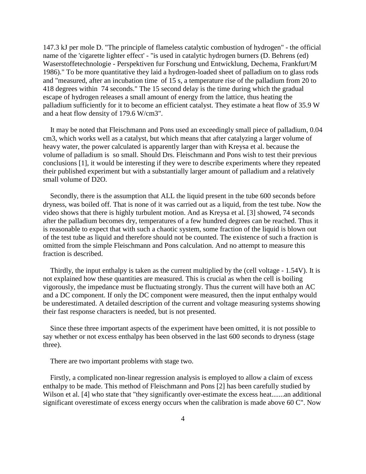147.3 kJ per mole D. "The principle of flameless catalytic combustion of hydrogen" - the official name of the 'cigarette lighter effect' - "is used in catalytic hydrogen burners (D. Behrens (ed) Waserstoffetechnologie - Perspektiven fur Forschung und Entwicklung, Dechema, Frankfurt/M 1986)." To be more quantitative they laid a hydrogen-loaded sheet of palladium on to glass rods and "measured, after an incubation time of 15 s, a temperature rise of the palladium from 20 to 418 degrees within 74 seconds." The 15 second delay is the time during which the gradual escape of hydrogen releases a small amount of energy from the lattice, thus heating the palladium sufficiently for it to become an efficient catalyst. They estimate a heat flow of 35.9 W and a heat flow density of 179.6 W/cm3".

 It may be noted that Fleischmann and Pons used an exceedingly small piece of palladium, 0.04 cm3, which works well as a catalyst, but which means that after catalyzing a larger volume of heavy water, the power calculated is apparently larger than with Kreysa et al. because the volume of palladium is so small. Should Drs. Fleischmann and Pons wish to test their previous conclusions [1], it would be interesting if they were to describe experiments where they repeated their published experiment but with a substantially larger amount of palladium and a relatively small volume of D2O.

 Secondly, there is the assumption that ALL the liquid present in the tube 600 seconds before dryness, was boiled off. That is none of it was carried out as a liquid, from the test tube. Now the video shows that there is highly turbulent motion. And as Kreysa et al. [3] showed, 74 seconds after the palladium becomes dry, temperatures of a few hundred degrees can be reached. Thus it is reasonable to expect that with such a chaotic system, some fraction of the liquid is blown out of the test tube as liquid and therefore should not be counted. The existence of such a fraction is omitted from the simple Fleischmann and Pons calculation. And no attempt to measure this fraction is described.

 Thirdly, the input enthalpy is taken as the current multiplied by the (cell voltage - 1.54V). It is not explained how these quantities are measured. This is crucial as when the cell is boiling vigorously, the impedance must be fluctuating strongly. Thus the current will have both an AC and a DC component. If only the DC component were measured, then the input enthalpy would be underestimated. A detailed description of the current and voltage measuring systems showing their fast response characters is needed, but is not presented.

 Since these three important aspects of the experiment have been omitted, it is not possible to say whether or not excess enthalpy has been observed in the last 600 seconds to dryness (stage three).

There are two important problems with stage two.

 Firstly, a complicated non-linear regression analysis is employed to allow a claim of excess enthalpy to be made. This method of Fleischmann and Pons [2] has been carefully studied by Wilson et al. [4] who state that "they significantly over-estimate the excess heat.......an additional significant overestimate of excess energy occurs when the calibration is made above 60 C". Now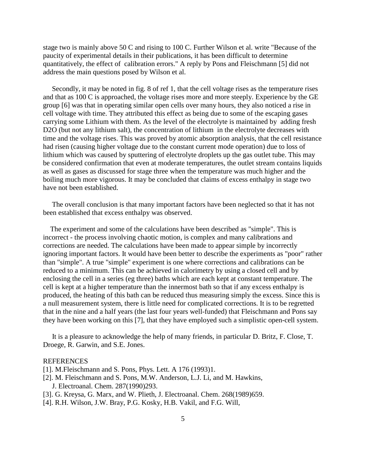stage two is mainly above 50 C and rising to 100 C. Further Wilson et al. write "Because of the paucity of experimental details in their publications, it has been difficult to determine quantitatively, the effect of calibration errors." A reply by Pons and Fleischmann [5] did not address the main questions posed by Wilson et al.

 Secondly, it may be noted in fig. 8 of ref 1, that the cell voltage rises as the temperature rises and that as 100 C is approached, the voltage rises more and more steeply. Experience by the GE group [6] was that in operating similar open cells over many hours, they also noticed a rise in cell voltage with time. They attributed this effect as being due to some of the escaping gases carrying some Lithium with them. As the level of the electrolyte is maintained by adding fresh D2O (but not any lithium salt), the concentration of lithium in the electrolyte decreases with time and the voltage rises. This was proved by atomic absorption analysis, that the cell resistance had risen (causing higher voltage due to the constant current mode operation) due to loss of lithium which was caused by sputtering of electrolyte droplets up the gas outlet tube. This may be considered confirmation that even at moderate temperatures, the outlet stream contains liquids as well as gases as discussed for stage three when the temperature was much higher and the boiling much more vigorous. It may be concluded that claims of excess enthalpy in stage two have not been established.

 The overall conclusion is that many important factors have been neglected so that it has not been established that excess enthalpy was observed.

 The experiment and some of the calculations have been described as "simple". This is incorrect - the process involving chaotic motion, is complex and many calibrations and corrections are needed. The calculations have been made to appear simple by incorrectly ignoring important factors. It would have been better to describe the experiments as "poor" rather than "simple". A true "simple" experiment is one where corrections and calibrations can be reduced to a minimum. This can be achieved in calorimetry by using a closed cell and by enclosing the cell in a series (eg three) baths which are each kept at constant temperature. The cell is kept at a higher temperature than the innermost bath so that if any excess enthalpy is produced, the heating of this bath can be reduced thus measuring simply the excess. Since this is a null measurement system, there is little need for complicated corrections. It is to be regretted that in the nine and a half years (the last four years well-funded) that Fleischmann and Pons say they have been working on this [7], that they have employed such a simplistic open-cell system.

 It is a pleasure to acknowledge the help of many friends, in particular D. Britz, F. Close, T. Droege, R. Garwin, and S.E. Jones.

#### **REFERENCES**

[1]. M. Fleischmann and S. Pons, Phys. Lett. A 176 (1993)1.

- [2]. M. Fleischmann and S. Pons, M.W. Anderson, L.J. Li, and M. Hawkins, J. Electroanal. Chem. 287(1990)293.
- [3]. G. Kreysa, G. Marx, and W. Plieth, J. Electroanal. Chem. 268(1989)659.
- [4]. R.H. Wilson, J.W. Bray, P.G. Kosky, H.B. Vakil, and F.G. Will,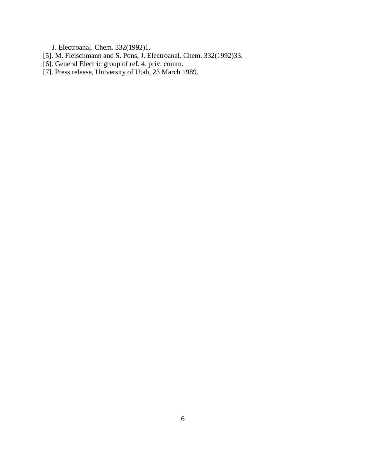J. Electroanal. Chem. 332(1992)1.

- [5]. M. Fleischmann and S. Pons, J. Electroanal. Chem. 332(1992)33.
- [6]. General Electric group of ref. 4. priv. comm.
- [7]. Press release, University of Utah, 23 March 1989.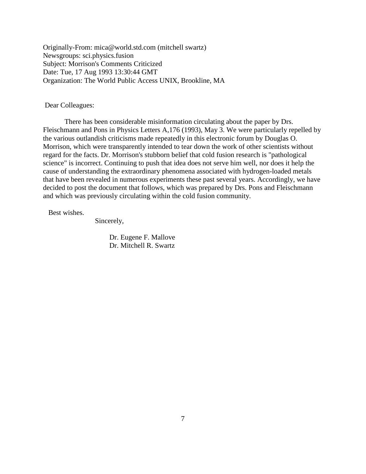Originally-From: mica@world.std.com (mitchell swartz) Newsgroups: sci.physics.fusion Subject: Morrison's Comments Criticized Date: Tue, 17 Aug 1993 13:30:44 GMT Organization: The World Public Access UNIX, Brookline, MA

Dear Colleagues:

There has been considerable misinformation circulating about the paper by Drs. Fleischmann and Pons in Physics Letters A,176 (1993), May 3. We were particularly repelled by the various outlandish criticisms made repeatedly in this electronic forum by Douglas O. Morrison, which were transparently intended to tear down the work of other scientists without regard for the facts. Dr. Morrison's stubborn belief that cold fusion research is "pathological science" is incorrect. Continuing to push that idea does not serve him well, nor does it help the cause of understanding the extraordinary phenomena associated with hydrogen-loaded metals that have been revealed in numerous experiments these past several years. Accordingly, we have decided to post the document that follows, which was prepared by Drs. Pons and Fleischmann and which was previously circulating within the cold fusion community.

Best wishes.

Sincerely,

 Dr. Eugene F. Mallove Dr. Mitchell R. Swartz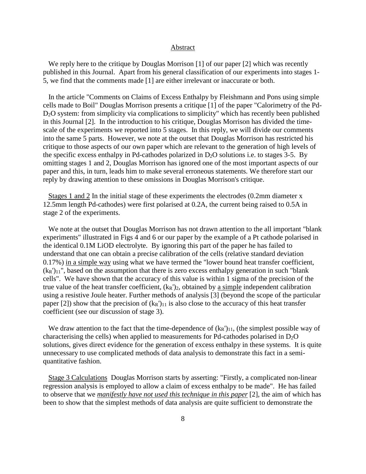#### Abstract

We reply here to the critique by Douglas Morrison [1] of our paper [2] which was recently published in this Journal. Apart from his general classification of our experiments into stages 1- 5, we find that the comments made [1] are either irrelevant or inaccurate or both.

 In the article "Comments on Claims of Excess Enthalpy by Fleishmann and Pons using simple cells made to Boil" Douglas Morrison presents a critique [1] of the paper "Calorimetry of the Pd-D2O system: from simplicity via complications to simplicity" which has recently been published in this Journal [2]. In the introduction to his critique, Douglas Morrison has divided the timescale of the experiments we reported into 5 stages. In this reply, we will divide our comments into the same 5 parts. However, we note at the outset that Douglas Morrison has restricted his critique to those aspects of our own paper which are relevant to the generation of high levels of the specific excess enthalpy in Pd-cathodes polarized in  $D_2O$  solutions i.e. to stages 3-5. By omitting stages 1 and 2, Douglas Morrison has ignored one of the most important aspects of our paper and this, in turn, leads him to make several erroneous statements. We therefore start our reply by drawing attention to these omissions in Douglas Morrison's critique.

Stages 1 and 2 In the initial stage of these experiments the electrodes (0.2mm diameter x 12.5mm length Pd-cathodes) were first polarised at 0.2A, the current being raised to 0.5A in stage 2 of the experiments.

 We note at the outset that Douglas Morrison has not drawn attention to the all important "blank experiments" illustrated in Figs 4 and 6 or our paper by the example of a Pt cathode polarised in the identical 0.1M LiOD electrolyte. By ignoring this part of the paper he has failed to understand that one can obtain a precise calibration of the cells (relative standard deviation 0.17%) in a simple way using what we have termed the "lower bound heat transfer coefficient,  $(k_R')_{11}$ ", based on the assumption that there is zero excess enthalpy generation in such "blank" cells". We have shown that the accuracy of this value is within 1 sigma of the precision of the true value of the heat transfer coefficient,  $(k_R')_2$ , obtained by a simple independent calibration using a resistive Joule heater. Further methods of analysis [3] (beyond the scope of the particular paper [2]) show that the precision of  $(k_R')_{11}$  is also close to the accuracy of this heat transfer coefficient (see our discussion of stage 3).

We draw attention to the fact that the time-dependence of  $(k_R')_{11}$ , (the simplest possible way of characterising the cells) when applied to measurements for Pd-cathodes polarised in  $D_2O$ solutions, gives direct evidence for the generation of excess enthalpy in these systems. It is quite unnecessary to use complicated methods of data analysis to demonstrate this fact in a semiquantitative fashion.

 Stage 3 Calculations Douglas Morrison starts by asserting: "Firstly, a complicated non-linear regression analysis is employed to allow a claim of excess enthalpy to be made". He has failed to observe that we *manifestly have not used this technique in this paper* [2], the aim of which has been to show that the simplest methods of data analysis are quite sufficient to demonstrate the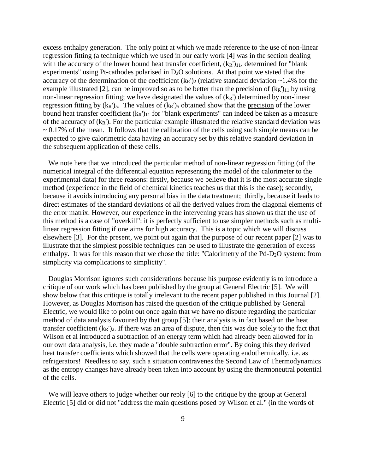excess enthalpy generation. The only point at which we made reference to the use of non-linear regression fitting (a technique which we used in our early work [4] was in the section dealing with the accuracy of the lower bound heat transfer coefficient,  $(k_R')_{11}$ , determined for "blank" experiments" using Pt-cathodes polarised in  $D_2O$  solutions. At that point we stated that the accuracy of the determination of the coefficient  $(k_R')_2$  (relative standard deviation ~1.4% for the example illustrated [2], can be improved so as to be better than the <u>precision</u> of  $(k_R')_{11}$  by using non-linear regression fitting; we have designated the values of  $(k_R)$  determined by non-linear regression fitting by  $(k_R')_5$ . The values of  $(k_R')_5$  obtained show that the precision of the lower bound heat transfer coefficient  $(k_R')_{11}$  for "blank experiments" can indeed be taken as a measure of the accuracy of  $(k_R)$ . For the particular example illustrated the relative standard deviation was  $\sim 0.17\%$  of the mean. It follows that the calibration of the cells using such simple means can be expected to give calorimetric data having an accuracy set by this relative standard deviation in the subsequent application of these cells.

 We note here that we introduced the particular method of non-linear regression fitting (of the numerical integral of the differential equation representing the model of the calorimeter to the experimental data) for three reasons: firstly, because we believe that it is the most accurate single method (experience in the field of chemical kinetics teaches us that this is the case); secondly, because it avoids introducing any personal bias in the data treatment; thirdly, because it leads to direct estimates of the standard deviations of all the derived values from the diagonal elements of the error matrix. However, our experience in the intervening years has shown us that the use of this method is a case of "overkill": it is perfectly sufficient to use simpler methods such as multilinear regression fitting if one aims for high accuracy. This is a topic which we will discuss elsewhere [3]. For the present, we point out again that the purpose of our recent paper [2] was to illustrate that the simplest possible techniques can be used to illustrate the generation of excess enthalpy. It was for this reason that we chose the title: "Calorimetry of the Pd-D2O system: from simplicity via complications to simplicity".

 Douglas Morrison ignores such considerations because his purpose evidently is to introduce a critique of our work which has been published by the group at General Electric [5]. We will show below that this critique is totally irrelevant to the recent paper published in this Journal [2]. However, as Douglas Morrison has raised the question of the critique published by General Electric, we would like to point out once again that we have no dispute regarding the particular method of data analysis favoured by that group [5]: their analysis is in fact based on the heat transfer coefficient  $(k_R')_2$ . If there was an area of dispute, then this was due solely to the fact that Wilson et al introduced a subtraction of an energy term which had already been allowed for in our own data analysis, i.e. they made a "double subtraction error". By doing this they derived heat transfer coefficients which showed that the cells were operating endothermically, i.e. as refrigerators! Needless to say, such a situation contravenes the Second Law of Thermodynamics as the entropy changes have already been taken into account by using the thermoneutral potential of the cells.

 We will leave others to judge whether our reply [6] to the critique by the group at General Electric [5] did or did not "address the main questions posed by Wilson et al." (in the words of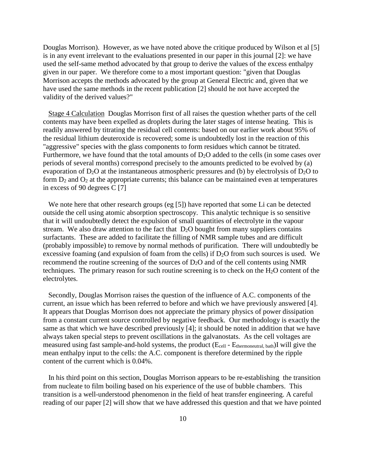Douglas Morrison). However, as we have noted above the critique produced by Wilson et al [5] is in any event irrelevant to the evaluations presented in our paper in this journal [2]: we have used the self-same method advocated by that group to derive the values of the excess enthalpy given in our paper. We therefore come to a most important question: "given that Douglas Morrison accepts the methods advocated by the group at General Electric and, given that we have used the same methods in the recent publication [2] should he not have accepted the validity of the derived values?"

 Stage 4 Calculation Douglas Morrison first of all raises the question whether parts of the cell contents may have been expelled as droplets during the later stages of intense heating. This is readily answered by titrating the residual cell contents: based on our earlier work about 95% of the residual lithium deuteroxide is recovered; some is undoubtedly lost in the reaction of this "aggressive" species with the glass components to form residues which cannot be titrated. Furthermore, we have found that the total amounts of  $D_2O$  added to the cells (in some cases over periods of several months) correspond precisely to the amounts predicted to be evolved by (a) evaporation of  $D_2O$  at the instantaneous atmospheric pressures and (b) by electrolysis of  $D_2O$  to form  $D_2$  and  $O_2$  at the appropriate currents; this balance can be maintained even at temperatures in excess of 90 degrees C [7]

We note here that other research groups (eg [5]) have reported that some Li can be detected outside the cell using atomic absorption spectroscopy. This analytic technique is so sensitive that it will undoubtedly detect the expulsion of small quantities of electrolyte in the vapour stream. We also draw attention to the fact that  $D_2O$  bought from many suppliers contains surfactants. These are added to facilitate the filling of NMR sample tubes and are difficult (probably impossible) to remove by normal methods of purification. There will undoubtedly be excessive foaming (and expulsion of foam from the cells) if  $D_2O$  from such sources is used. We recommend the routine screening of the sources of  $D_2O$  and of the cell contents using NMR techniques. The primary reason for such routine screening is to check on the  $H_2O$  content of the electrolytes.

 Secondly, Douglas Morrison raises the question of the influence of A.C. components of the current, an issue which has been referred to before and which we have previously answered [4]. It appears that Douglas Morrison does not appreciate the primary physics of power dissipation from a constant current source controlled by negative feedback. Our methodology is exactly the same as that which we have described previously [4]; it should be noted in addition that we have always taken special steps to prevent oscillations in the galvanostats. As the cell voltages are measured using fast sample-and-hold systems, the product (Ecell - Ethermoneutral, bath)I will give the mean enthalpy input to the cells: the A.C. component is therefore determined by the ripple content of the current which is 0.04%.

 In his third point on this section, Douglas Morrison appears to be re-establishing the transition from nucleate to film boiling based on his experience of the use of bubble chambers. This transition is a well-understood phenomenon in the field of heat transfer engineering. A careful reading of our paper [2] will show that we have addressed this question and that we have pointed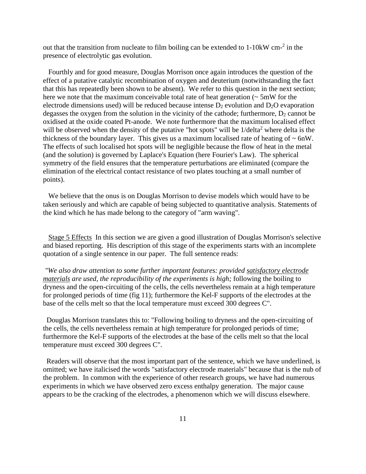out that the transition from nucleate to film boiling can be extended to 1-10kW cm<sup>-2</sup> in the presence of electrolytic gas evolution.

 Fourthly and for good measure, Douglas Morrison once again introduces the question of the effect of a putative catalytic recombination of oxygen and deuterium (notwithstanding the fact that this has repeatedly been shown to be absent). We refer to this question in the next section; here we note that the maximum conceivable total rate of heat generation  $\sim$  5mW for the electrode dimensions used) will be reduced because intense  $D_2$  evolution and  $D_2O$  evaporation degasses the oxygen from the solution in the vicinity of the cathode; furthermore,  $D_2$  cannot be oxidised at the oxide coated Pt-anode. We note furthermore that the maximum localised effect will be observed when the density of the putative "hot spots" will be  $1/delta^2$  where delta is the thickness of the boundary layer. This gives us a maximum localised rate of heating of  $\sim 6$ nW. The effects of such localised hot spots will be negligible because the flow of heat in the metal (and the solution) is governed by Laplace's Equation (here Fourier's Law). The spherical symmetry of the field ensures that the temperature perturbations are eliminated (compare the elimination of the electrical contact resistance of two plates touching at a small number of points).

 We believe that the onus is on Douglas Morrison to devise models which would have to be taken seriously and which are capable of being subjected to quantitative analysis. Statements of the kind which he has made belong to the category of "arm waving".

 Stage 5 Effects In this section we are given a good illustration of Douglas Morrison's selective and biased reporting. His description of this stage of the experiments starts with an incomplete quotation of a single sentence in our paper. The full sentence reads:

*"We also draw attention to some further important features: provided satisfactory electrode materials are used, the reproducibility of the experiments is high;* following the boiling to dryness and the open-circuiting of the cells, the cells nevertheless remain at a high temperature for prolonged periods of time (fig 11); furthermore the Kel-F supports of the electrodes at the base of the cells melt so that the local temperature must exceed 300 degrees C".

 Douglas Morrison translates this to: "Following boiling to dryness and the open-circuiting of the cells, the cells nevertheless remain at high temperature for prolonged periods of time; furthermore the Kel-F supports of the electrodes at the base of the cells melt so that the local temperature must exceed 300 degrees C".

 Readers will observe that the most important part of the sentence, which we have underlined, is omitted; we have italicised the words "satisfactory electrode materials" because that is the nub of the problem. In common with the experience of other research groups, we have had numerous experiments in which we have observed zero excess enthalpy generation. The major cause appears to be the cracking of the electrodes, a phenomenon which we will discuss elsewhere.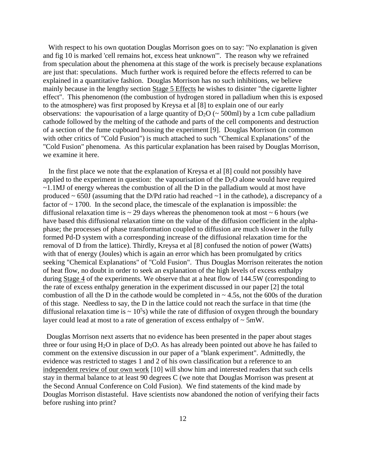With respect to his own quotation Douglas Morrison goes on to say: "No explanation is given and fig 10 is marked 'cell remains hot, excess heat unknown'". The reason why we refrained from speculation about the phenomena at this stage of the work is precisely because explanations are just that: speculations. Much further work is required before the effects referred to can be explained in a quantitative fashion. Douglas Morrison has no such inhibitions, we believe mainly because in the lengthy section Stage 5 Effects he wishes to disinter "the cigarette lighter effect". This phenomenon (the combustion of hydrogen stored in palladium when this is exposed to the atmosphere) was first proposed by Kreysa et al [8] to explain one of our early observations: the vapourisation of a large quantity of  $D_2O \left( \sim 500 \text{ml} \right)$  by a 1cm cube palladium cathode followed by the melting of the cathode and parts of the cell components and destruction of a section of the fume cupboard housing the experiment [9]. Douglas Morrison (in common with other critics of "Cold Fusion") is much attached to such "Chemical Explanations" of the "Cold Fusion" phenomena. As this particular explanation has been raised by Douglas Morrison, we examine it here.

 In the first place we note that the explanation of Kreysa et al [8] could not possibly have applied to the experiment in question: the vapourisation of the  $D_2O$  alone would have required ~1.1MJ of energy whereas the combustion of all the D in the palladium would at most have produced ~ 650J (assuming that the D/Pd ratio had reached ~1 in the cathode), a discrepancy of a factor of  $\sim$  1700. In the second place, the timescale of the explanation is impossible: the diffusional relaxation time is  $\sim$  29 days whereas the phenomenon took at most  $\sim$  6 hours (we have based this diffusional relaxation time on the value of the diffusion coefficient in the alphaphase; the processes of phase transformation coupled to diffusion are much slower in the fully formed Pd-D system with a corresponding increase of the diffusional relaxation time for the removal of D from the lattice). Thirdly, Kreysa et al [8] confused the notion of power (Watts) with that of energy (Joules) which is again an error which has been promulgated by critics seeking "Chemical Explanations" of "Cold Fusion". Thus Douglas Morrison reiterates the notion of heat flow, no doubt in order to seek an explanation of the high levels of excess enthalpy during Stage 4 of the experiments. We observe that at a heat flow of 144.5W (corresponding to the rate of excess enthalpy generation in the experiment discussed in our paper [2] the total combustion of all the D in the cathode would be completed in  $\sim$  4.5s, not the 600s of the duration of this stage. Needless to say, the D in the lattice could not reach the surface in that time (the diffusional relaxation time is  $\sim 10^5$ s) while the rate of diffusion of oxygen through the boundary layer could lead at most to a rate of generation of excess enthalpy of  $\sim$  5mW.

 Douglas Morrison next asserts that no evidence has been presented in the paper about stages three or four using  $H_2O$  in place of  $D_2O$ . As has already been pointed out above he has failed to comment on the extensive discussion in our paper of a "blank experiment". Admittedly, the evidence was restricted to stages 1 and 2 of his own classification but a reference to an independent review of our own work [10] will show him and interested readers that such cells stay in thermal balance to at least 90 degrees C (we note that Douglas Morrison was present at the Second Annual Conference on Cold Fusion). We find statements of the kind made by Douglas Morrison distasteful. Have scientists now abandoned the notion of verifying their facts before rushing into print?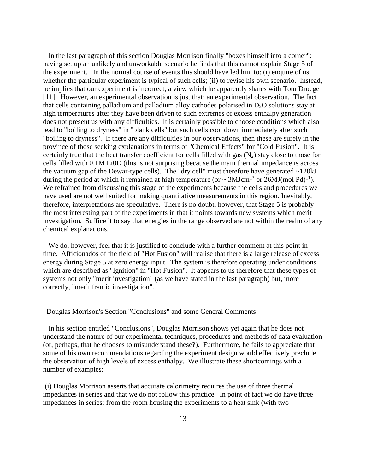In the last paragraph of this section Douglas Morrison finally "boxes himself into a corner": having set up an unlikely and unworkable scenario he finds that this cannot explain Stage 5 of the experiment. In the normal course of events this should have led him to: (i) enquire of us whether the particular experiment is typical of such cells; (ii) to revise his own scenario. Instead, he implies that our experiment is incorrect, a view which he apparently shares with Tom Droege [11]. However, an experimental observation is just that: an experimental observation. The fact that cells containing palladium and palladium alloy cathodes polarised in  $D_2O$  solutions stay at high temperatures after they have been driven to such extremes of excess enthalpy generation does not present us with any difficulties. It is certainly possible to choose conditions which also lead to "boiling to dryness" in "blank cells" but such cells cool down immediately after such "boiling to dryness". If there are any difficulties in our observations, then these are surely in the province of those seeking explanations in terms of "Chemical Effects" for "Cold Fusion". It is certainly true that the heat transfer coefficient for cells filled with gas  $(N_2)$  stay close to those for cells filled with 0.1M Li0D (this is not surprising because the main thermal impedance is across the vacuum gap of the Dewar-type cells). The "dry cell" must therefore have generated  $\sim$ 120kJ during the period at which it remained at high temperature (or  $\sim 3 \text{MJcm}^{-3}$  or  $26 \text{MJ} (\text{mol} \text{ Pd})^{-1}$ ). We refrained from discussing this stage of the experiments because the cells and procedures we have used are not well suited for making quantitative measurements in this region. Inevitably, therefore, interpretations are speculative. There is no doubt, however, that Stage 5 is probably the most interesting part of the experiments in that it points towards new systems which merit investigation. Suffice it to say that energies in the range observed are not within the realm of any chemical explanations.

 We do, however, feel that it is justified to conclude with a further comment at this point in time. Afficionados of the field of "Hot Fusion" will realise that there is a large release of excess energy during Stage 5 at zero energy input. The system is therefore operating under conditions which are described as "Ignition" in "Hot Fusion". It appears to us therefore that these types of systems not only "merit investigation" (as we have stated in the last paragraph) but, more correctly, "merit frantic investigation".

### Douglas Morrison's Section "Conclusions" and some General Comments

 In his section entitled "Conclusions", Douglas Morrison shows yet again that he does not understand the nature of our experimental techniques, procedures and methods of data evaluation (or, perhaps, that he chooses to misunderstand these?). Furthermore, he fails to appreciate that some of his own recommendations regarding the experiment design would effectively preclude the observation of high levels of excess enthalpy. We illustrate these shortcomings with a number of examples:

 (i) Douglas Morrison asserts that accurate calorimetry requires the use of three thermal impedances in series and that we do not follow this practice. In point of fact we do have three impedances in series: from the room housing the experiments to a heat sink (with two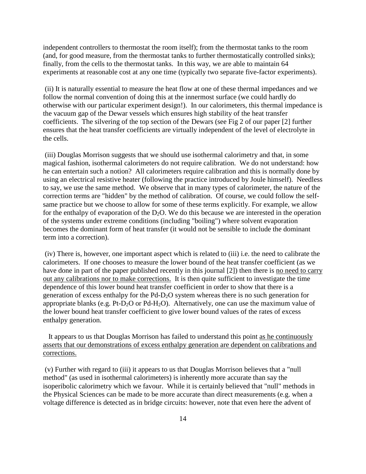independent controllers to thermostat the room itself); from the thermostat tanks to the room (and, for good measure, from the thermostat tanks to further thermostatically controlled sinks); finally, from the cells to the thermostat tanks. In this way, we are able to maintain 64 experiments at reasonable cost at any one time (typically two separate five-factor experiments).

 (ii) It is naturally essential to measure the heat flow at one of these thermal impedances and we follow the normal convention of doing this at the innermost surface (we could hardly do otherwise with our particular experiment design!). In our calorimeters, this thermal impedance is the vacuum gap of the Dewar vessels which ensures high stability of the heat transfer coefficients. The silvering of the top section of the Dewars (see Fig 2 of our paper [2] further ensures that the heat transfer coefficients are virtually independent of the level of electrolyte in the cells.

 (iii) Douglas Morrison suggests that we should use isothermal calorimetry and that, in some magical fashion, isothermal calorimeters do not require calibration. We do not understand: how he can entertain such a notion? All calorimeters require calibration and this is normally done by using an electrical resistive heater (following the practice introduced by Joule himself). Needless to say, we use the same method. We observe that in many types of calorimeter, the nature of the correction terms are "hidden" by the method of calibration. Of course, we could follow the selfsame practice but we choose to allow for some of these terms explicitly. For example, we allow for the enthalpy of evaporation of the  $D_2O$ . We do this because we are interested in the operation of the systems under extreme conditions (including "boiling") where solvent evaporation becomes the dominant form of heat transfer (it would not be sensible to include the dominant term into a correction).

 (iv) There is, however, one important aspect which is related to (iii) i.e. the need to calibrate the calorimeters. If one chooses to measure the lower bound of the heat transfer coefficient (as we have done in part of the paper published recently in this journal [2]) then there is no need to carry out any calibrations nor to make corrections. It is then quite sufficient to investigate the time dependence of this lower bound heat transfer coefficient in order to show that there is a generation of excess enthalpy for the Pd-D2O system whereas there is no such generation for appropriate blanks (e.g. Pt-D<sub>2</sub>O or Pd-H<sub>2</sub>O). Alternatively, one can use the maximum value of the lower bound heat transfer coefficient to give lower bound values of the rates of excess enthalpy generation.

 It appears to us that Douglas Morrison has failed to understand this point as he continuously asserts that our demonstrations of excess enthalpy generation are dependent on calibrations and corrections.

 (v) Further with regard to (iii) it appears to us that Douglas Morrison believes that a "null method" (as used in isothermal calorimeters) is inherently more accurate than say the isoperibolic calorimetry which we favour. While it is certainly believed that "null" methods in the Physical Sciences can be made to be more accurate than direct measurements (e.g. when a voltage difference is detected as in bridge circuits: however, note that even here the advent of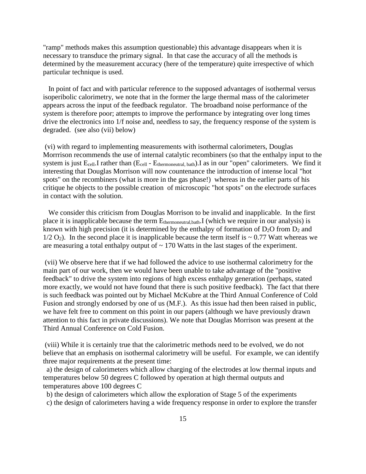"ramp" methods makes this assumption questionable) this advantage disappears when it is necessary to transduce the primary signal. In that case the accuracy of all the methods is determined by the measurement accuracy (here of the temperature) quite irrespective of which particular technique is used.

 In point of fact and with particular reference to the supposed advantages of isothermal versus isoperibolic calorimetry, we note that in the former the large thermal mass of the calorimeter appears across the input of the feedback regulator. The broadband noise performance of the system is therefore poor; attempts to improve the performance by integrating over long times drive the electronics into 1/f noise and, needless to say, the frequency response of the system is degraded. (see also (vii) below)

 (vi) with regard to implementing measurements with isothermal calorimeters, Douglas Morrrison recommends the use of internal catalytic recombiners (so that the enthalpy input to the system is just E<sub>cell</sub>.I rather than (E<sub>cell</sub> - E<sub>thermoneutral, bath</sub>).I as in our "open" calorimeters. We find it interesting that Douglas Morrison will now countenance the introduction of intense local "hot spots" on the recombiners (what is more in the gas phase!) whereas in the earlier parts of his critique he objects to the possible creation of microscopic "hot spots" on the electrode surfaces in contact with the solution.

 We consider this criticism from Douglas Morrison to be invalid and inapplicable. In the first place it is inapplicable because the term  $E_{\text{thermoneutrial}, bath}$ . I (which we require in our analysis) is known with high precision (it is determined by the enthalpy of formation of  $D_2O$  from  $D_2$  and  $1/2$  O<sub>2</sub>). In the second place it is inapplicable because the term itself is  $\sim 0.77$  Watt whereas we are measuring a total enthalpy output of  $\sim 170$  Watts in the last stages of the experiment.

 (vii) We observe here that if we had followed the advice to use isothermal calorimetry for the main part of our work, then we would have been unable to take advantage of the "positive feedback" to drive the system into regions of high excess enthalpy generation (perhaps, stated more exactly, we would not have found that there is such positive feedback). The fact that there is such feedback was pointed out by Michael McKubre at the Third Annual Conference of Cold Fusion and strongly endorsed by one of us (M.F.). As this issue had then been raised in public, we have felt free to comment on this point in our papers (although we have previously drawn attention to this fact in private discussions). We note that Douglas Morrison was present at the Third Annual Conference on Cold Fusion.

 (viii) While it is certainly true that the calorimetric methods need to be evolved, we do not believe that an emphasis on isothermal calorimetry will be useful. For example, we can identify three major requirements at the present time:

 a) the design of calorimeters which allow charging of the electrodes at low thermal inputs and temperatures below 50 degrees C followed by operation at high thermal outputs and temperatures above 100 degrees C

b) the design of calorimeters which allow the exploration of Stage 5 of the experiments

c) the design of calorimeters having a wide frequency response in order to explore the transfer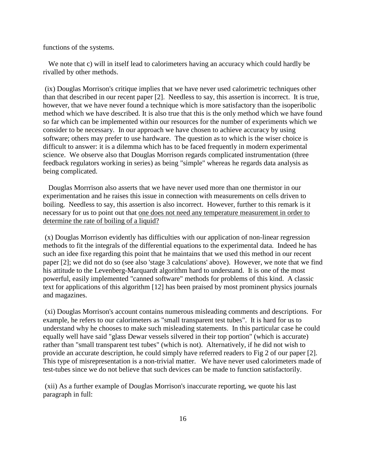functions of the systems.

We note that c) will in itself lead to calorimeters having an accuracy which could hardly be rivalled by other methods.

 (ix) Douglas Morrison's critique implies that we have never used calorimetric techniques other than that described in our recent paper [2]. Needless to say, this assertion is incorrect. It is true, however, that we have never found a technique which is more satisfactory than the isoperibolic method which we have described. It is also true that this is the only method which we have found so far which can be implemented within our resources for the number of experiments which we consider to be necessary. In our approach we have chosen to achieve accuracy by using software; others may prefer to use hardware. The question as to which is the wiser choice is difficult to answer: it is a dilemma which has to be faced frequently in modern experimental science. We observe also that Douglas Morrison regards complicated instrumentation (three feedback regulators working in series) as being "simple" whereas he regards data analysis as being complicated.

 Douglas Morrrison also asserts that we have never used more than one thermistor in our experimentation and he raises this issue in connection with measurements on cells driven to boiling. Needless to say, this assertion is also incorrect. However, further to this remark is it necessary for us to point out that one does not need any temperature measurement in order to determine the rate of boiling of a liquid?

 (x) Douglas Morrison evidently has difficulties with our application of non-linear regression methods to fit the integrals of the differential equations to the experimental data. Indeed he has such an idee fixe regarding this point that he maintains that we used this method in our recent paper [2]; we did not do so (see also 'stage 3 calculations' above). However, we note that we find his attitude to the Levenberg-Marquardt algorithm hard to understand. It is one of the most powerful, easily implemented "canned software" methods for problems of this kind. A classic text for applications of this algorithm [12] has been praised by most prominent physics journals and magazines.

 (xi) Douglas Morrison's account contains numerous misleading comments and descriptions. For example, he refers to our calorimeters as "small transparent test tubes". It is hard for us to understand why he chooses to make such misleading statements. In this particular case he could equally well have said "glass Dewar vessels silvered in their top portion" (which is accurate) rather than "small transparent test tubes" (which is not). Alternatively, if he did not wish to provide an accurate description, he could simply have referred readers to Fig 2 of our paper [2]. This type of misrepresentation is a non-trivial matter. We have never used calorimeters made of test-tubes since we do not believe that such devices can be made to function satisfactorily.

 (xii) As a further example of Douglas Morrison's inaccurate reporting, we quote his last paragraph in full: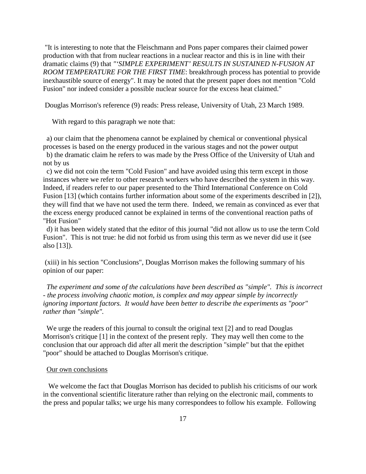"It is interesting to note that the Fleischmann and Pons paper compares their claimed power production with that from nuclear reactions in a nuclear reactor and this is in line with their dramatic claims (9) that *"'SIMPLE EXPERIMENT' RESULTS IN SUSTAINED N-FUSION AT ROOM TEMPERATURE FOR THE FIRST TIME*: breakthrough process has potential to provide inexhaustible source of energy". It may be noted that the present paper does not mention "Cold Fusion" nor indeed consider a possible nuclear source for the excess heat claimed."

Douglas Morrison's reference (9) reads: Press release, University of Utah, 23 March 1989.

With regard to this paragraph we note that:

 a) our claim that the phenomena cannot be explained by chemical or conventional physical processes is based on the energy produced in the various stages and not the power output

 b) the dramatic claim he refers to was made by the Press Office of the University of Utah and not by us

 c) we did not coin the term "Cold Fusion" and have avoided using this term except in those instances where we refer to other research workers who have described the system in this way. Indeed, if readers refer to our paper presented to the Third International Conference on Cold Fusion [13] (which contains further information about some of the experiments described in [2]), they will find that we have not used the term there. Indeed, we remain as convinced as ever that the excess energy produced cannot be explained in terms of the conventional reaction paths of "Hot Fusion"

 d) it has been widely stated that the editor of this journal "did not allow us to use the term Cold Fusion". This is not true: he did not forbid us from using this term as we never did use it (see also [13]).

 (xiii) in his section "Conclusions", Douglas Morrison makes the following summary of his opinion of our paper:

*The experiment and some of the calculations have been described as "simple". This is incorrect - the process involving chaotic motion, is complex and may appear simple by incorrectly ignoring important factors. It would have been better to describe the experiments as "poor" rather than "simple".*

We urge the readers of this journal to consult the original text [2] and to read Douglas Morrison's critique [1] in the context of the present reply. They may well then come to the conclusion that our approach did after all merit the description "simple" but that the epithet "poor" should be attached to Douglas Morrison's critique.

### Our own conclusions

 We welcome the fact that Douglas Morrison has decided to publish his criticisms of our work in the conventional scientific literature rather than relying on the electronic mail, comments to the press and popular talks; we urge his many correspondees to follow his example. Following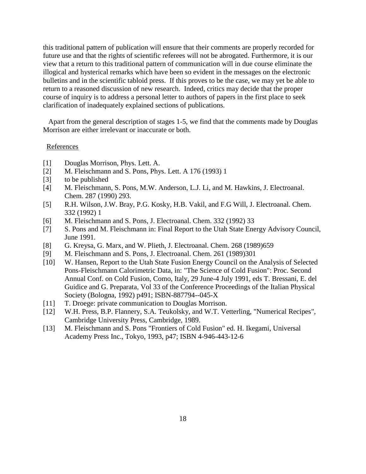this traditional pattern of publication will ensure that their comments are properly recorded for future use and that the rights of scientific referees will not be abrogated. Furthermore, it is our view that a return to this traditional pattern of communication will in due course eliminate the illogical and hysterical remarks which have been so evident in the messages on the electronic bulletins and in the scientific tabloid press. If this proves to be the case, we may yet be able to return to a reasoned discussion of new research. Indeed, critics may decide that the proper course of inquiry is to address a personal letter to authors of papers in the first place to seek clarification of inadequately explained sections of publications.

 Apart from the general description of stages 1-5, we find that the comments made by Douglas Morrison are either irrelevant or inaccurate or both.

#### References

- [1] Douglas Morrison, Phys. Lett. A.
- [2] M. Fleischmann and S. Pons, Phys. Lett. A 176 (1993) 1
- [3] to be published
- [4] M. Fleischmann, S. Pons, M.W. Anderson, L.J. Li, and M. Hawkins, J. Electroanal. Chem. 287 (1990) 293.
- [5] R.H. Wilson, J.W. Bray, P.G. Kosky, H.B. Vakil, and F.G Will, J. Electroanal. Chem. 332 (1992) 1
- [6] M. Fleischmann and S. Pons, J. Electroanal. Chem. 332 (1992) 33
- [7] S. Pons and M. Fleischmann in: Final Report to the Utah State Energy Advisory Council, June 1991.
- [8] G. Kreysa, G. Marx, and W. Plieth, J. Electroanal. Chem. 268 (1989)659
- [9] M. Fleischmann and S. Pons, J. Electroanal. Chem. 261 (1989)301
- [10] W. Hansen, Report to the Utah State Fusion Energy Council on the Analysis of Selected Pons-Fleischmann Calorimetric Data, in: "The Science of Cold Fusion": Proc. Second Annual Conf. on Cold Fusion, Como, Italy, 29 June-4 July 1991, eds T. Bressani, E. del Guidice and G. Preparata, Vol 33 of the Conference Proceedings of the Italian Physical Society (Bologna, 1992) p491; ISBN-887794--045-X
- [11] T. Droege: private communication to Douglas Morrison.
- [12] W.H. Press, B.P. Flannery, S.A. Teukolsky, and W.T. Vetterling, "Numerical Recipes", Cambridge University Press, Cambridge, 1989.
- [13] M. Fleischmann and S. Pons "Frontiers of Cold Fusion" ed. H. Ikegami, Universal Academy Press Inc., Tokyo, 1993, p47; ISBN 4-946-443-12-6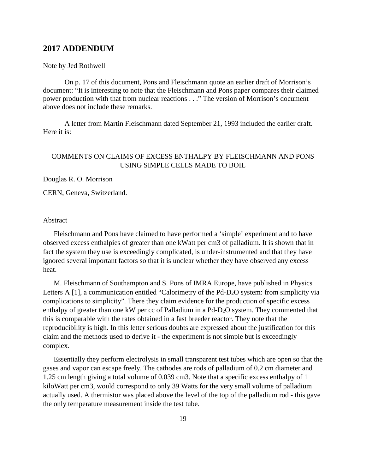# **2017 ADDENDUM**

### Note by Jed Rothwell

On p. 17 of this document, Pons and Fleischmann quote an earlier draft of Morrison's document: "It is interesting to note that the Fleischmann and Pons paper compares their claimed power production with that from nuclear reactions . . ." The version of Morrison's document above does not include these remarks.

A letter from Martin Fleischmann dated September 21, 1993 included the earlier draft. Here it is:

# COMMENTS ON CLAIMS OF EXCESS ENTHALPY BY FLEISCHMANN AND PONS USING SIMPLE CELLS MADE TO BOIL

Douglas R. O. Morrison

CERN, Geneva, Switzerland.

### Abstract

Fleischmann and Pons have claimed to have performed a 'simple' experiment and to have observed excess enthalpies of greater than one kWatt per cm3 of palladium. It is shown that in fact the system they use is exceedingly complicated, is under-instrumented and that they have ignored several important factors so that it is unclear whether they have observed any excess heat.

M. Fleischmann of Southampton and S. Pons of IMRA Europe, have published in Physics Letters A  $[1]$ , a communication entitled "Calorimetry of the Pd-D<sub>2</sub>O system: from simplicity via complications to simplicity". There they claim evidence for the production of specific excess enthalpy of greater than one kW per cc of Palladium in a Pd-D2O system. They commented that this is comparable with the rates obtained in a fast breeder reactor. They note that the reproducibility is high. In this letter serious doubts are expressed about the justification for this claim and the methods used to derive it - the experiment is not simple but is exceedingly complex.

Essentially they perform electrolysis in small transparent test tubes which are open so that the gases and vapor can escape freely. The cathodes are rods of palladium of 0.2 cm diameter and 1.25 cm length giving a total volume of 0.039 cm3. Note that a specific excess enthalpy of 1 kiloWatt per cm3, would correspond to only 39 Watts for the very small volume of palladium actually used. A thermistor was placed above the level of the top of the palladium rod - this gave the only temperature measurement inside the test tube.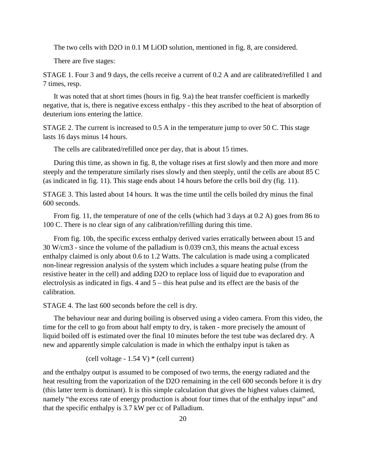The two cells with D2O in 0.1 M LiOD solution, mentioned in fig. 8, are considered.

There are five stages:

STAGE 1. Four 3 and 9 days, the cells receive a current of 0.2 A and are calibrated/refilled 1 and 7 times, resp.

It was noted that at short times (hours in fig. 9.a) the heat transfer coefficient is markedly negative, that is, there is negative excess enthalpy - this they ascribed to the heat of absorption of deuterium ions entering the lattice.

STAGE 2. The current is increased to 0.5 A in the temperature jump to over 50 C. This stage lasts 16 days minus 14 hours.

The cells are calibrated/refilled once per day, that is about 15 times.

During this time, as shown in fig. 8, the voltage rises at first slowly and then more and more steeply and the temperature similarly rises slowly and then steeply, until the cells are about 85 C (as indicated in fig. 11). This stage ends about 14 hours before the cells boil dry (fig. 11).

STAGE 3. This lasted about 14 hours. It was the time until the cells boiled dry minus the final 600 seconds.

From fig. 11, the temperature of one of the cells (which had 3 days at 0.2 A) goes from 86 to 100 C. There is no clear sign of any calibration/refilling during this time.

From fig. 10b, the specific excess enthalpy derived varies erratically between about 15 and 30 W/cm3 - since the volume of the palladium is 0.039 cm3, this means the actual excess enthalpy claimed is only about 0.6 to 1.2 Watts. The calculation is made using a complicated non-linear regression analysis of the system which includes a square heating pulse (from the resistive heater in the cell) and adding D2O to replace loss of liquid due to evaporation and electrolysis as indicated in figs. 4 and 5 – this heat pulse and its effect are the basis of the calibration.

STAGE 4. The last 600 seconds before the cell is dry.

The behaviour near and during boiling is observed using a video camera. From this video, the time for the cell to go from about half empty to dry, is taken - more precisely the amount of liquid boiled off is estimated over the final 10 minutes before the test tube was declared dry. A new and apparently simple calculation is made in which the enthalpy input is taken as

(cell voltage -  $1.54$  V)  $*$  (cell current)

and the enthalpy output is assumed to be composed of two terms, the energy radiated and the heat resulting from the vaporization of the D2O remaining in the cell 600 seconds before it is dry (this latter term is dominant). It is this simple calculation that gives the highest values claimed, namely "the excess rate of energy production is about four times that of the enthalpy input" and that the specific enthalpy is 3.7 kW per cc of Palladium.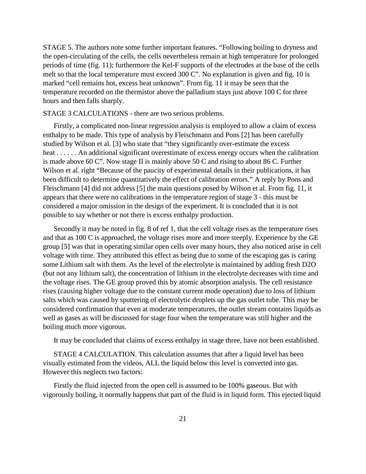STAGE 5. The authors note some further important features. "Following boiling to dryness and the open-circulating of the cells, the cells nevertheless remain at high temperature for prolonged periods of time (fig. 11); furthermore the Kel-F supports of the electrodes at the base of the cells melt so that the local temperature must exceed 300 C". No explanation is given and fig. 10 is marked "cell remains hot, excess heat unknown". From fig. 11 it may be seen that the temperature recorded on the thermistor above the palladium stays just above 100 C for three hours and then falls sharply.

### STAGE 3 CALCULATIONS - there are two serious problems.

Firstly, a complicated non-linear regression analysis is employed to allow a claim of excess enthalpy to be made. This type of analysis by Fleischmann and Pons [2] has been carefully studied by Wilson et al. [3] who state that "they significantly over-estimate the excess heat . . . . . . An additional significant overestimate of excess energy occurs when the calibration is made above 60 C". Now stage II is mainly above 50 C and rising to about 86 C. Further Wilson et al. right "Because of the paucity of experimental details in their publications, it has been difficult to determine quantitatively the effect of calibration errors." A reply by Pons and Fleischmann [4] did not address [5] the main questions posed by Wilson et al. From fig. 11, it appears that there were no calibrations in the temperature region of stage 3 - this must be considered a major omission in the design of the experiment. It is concluded that it is not possible to say whether or not there is excess enthalpy production.

Secondly it may be noted in fig. 8 of ref 1, that the cell voltage rises as the temperature rises and that as 100 C is approached, the voltage rises more and more steeply. Experience by the GE group [5] was that in operating similar open cells over many hours, they also noticed arise in cell voltage with time. They attributed this effect as being due to some of the escaping gas is caring some Lithium salt with them. As the level of the electrolyte is maintained by adding fresh D2O (but not any lithium salt), the concentration of lithium in the electrolyte decreases with time and the voltage rises. The GE group proved this by atomic absorption analysis. The cell resistance rises (causing higher voltage due to the constant current mode operation) due to loss of lithium salts which was caused by sputtering of electrolytic droplets up the gas outlet tube. This may be considered confirmation that even at moderate temperatures, the outlet stream contains liquids as well as gases as will be discussed for stage four when the temperature was still higher and the boiling much more vigorous.

It may be concluded that claims of excess enthalpy in stage three, have not been established.

STAGE 4 CALCULATION. This calculation assumes that after a liquid level has been visually estimated from the videos, ALL the liquid below this level is converted into gas. However this neglects two factors:

Firstly the fluid injected from the open cell is assumed to be 100% gaseous. But with vigorously boiling, it normally happens that part of the fluid is in liquid form. This ejected liquid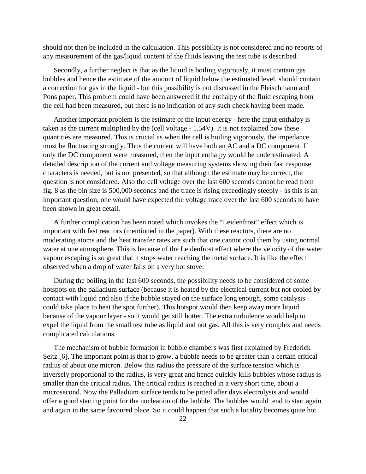should not then be included in the calculation. This possibility is not considered and no reports of any measurement of the gas/liquid content of the fluids leaving the test tube is described.

Secondly, a further neglect is that as the liquid is boiling vigorously, it must contain gas bubbles and hence the estimate of the amount of liquid below the estimated level, should contain a correction for gas in the liquid - but this possibility is not discussed in the Fleischmann and Pons paper. This problem could have been answered if the enthalpy of the fluid escaping from the cell had been measured, but there is no indication of any such check having been made.

Another important problem is the estimate of the input energy - here the input enthalpy is taken as the current multiplied by the (cell voltage - 1.54V). It is not explained how these quantities are measured. This is crucial as when the cell is boiling vigorously, the impedance must be fluctuating strongly. Thus the current will have both an AC and a DC component. If only the DC component were measured, then the input enthalpy would be underestimated. A detailed description of the current and voltage measuring systems showing their fast response characters is needed, but is not presented, so that although the estimate may be correct, the question is not considered. Also the cell voltage over the last 600 seconds cannot be read from fig. 8 as the bin size is 500,000 seconds and the trace is rising exceedingly steeply - as this is an important question, one would have expected the voltage trace over the last 600 seconds to have been shown in great detail.

A further complication has been noted which invokes the "Leidenfrost" effect which is important with fast reactors (mentioned in the paper). With these reactors, there are no moderating atoms and the heat transfer rates are such that one cannot cool them by using normal water at one atmosphere. This is because of the Leidenfrost effect where the velocity of the water vapour escaping is so great that it stops water reaching the metal surface. It is like the effect observed when a drop of water falls on a very hot stove.

During the boiling in the last 600 seconds, the possibility needs to be considered of some hotspots on the palladium surface (because it is heated by the electrical current but not cooled by contact with liquid and also if the bubble stayed on the surface long enough, some catalysis could take place to heat the spot further). This hotspot would then keep away more liquid because of the vapour layer - so it would get still hotter. The extra turbulence would help to expel the liquid from the small test tube as liquid and not gas. All this is very complex and needs complicated calculations.

The mechanism of bubble formation in bubble chambers was first explained by Frederick Seitz [6]. The important point is that to grow, a bubble needs to be greater than a certain critical radius of about one micron. Below this radius the pressure of the surface tension which is inversely proportional to the radius, is very great and hence quickly kills bubbles whose radius is smaller than the critical radius. The critical radius is reached in a very short time, about a microsecond. Now the Palladium surface tends to be pitted after days electrolysis and would offer a good starting point for the nucleation of the bubble. The bubbles would tend to start again and again in the same favoured place. So it could happen that such a locality becomes quite hot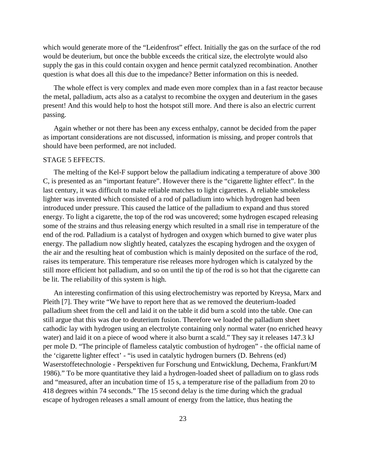which would generate more of the "Leidenfrost" effect. Initially the gas on the surface of the rod would be deuterium, but once the bubble exceeds the critical size, the electrolyte would also supply the gas in this could contain oxygen and hence permit catalyzed recombination. Another question is what does all this due to the impedance? Better information on this is needed.

The whole effect is very complex and made even more complex than in a fast reactor because the metal, palladium, acts also as a catalyst to recombine the oxygen and deuterium in the gases present! And this would help to host the hotspot still more. And there is also an electric current passing.

Again whether or not there has been any excess enthalpy, cannot be decided from the paper as important considerations are not discussed, information is missing, and proper controls that should have been performed, are not included.

### STAGE 5 EFFECTS.

The melting of the Kel-F support below the palladium indicating a temperature of above 300 C, is presented as an "important feature". However there is the "cigarette lighter effect". In the last century, it was difficult to make reliable matches to light cigarettes. A reliable smokeless lighter was invented which consisted of a rod of palladium into which hydrogen had been introduced under pressure. This caused the lattice of the palladium to expand and thus stored energy. To light a cigarette, the top of the rod was uncovered; some hydrogen escaped releasing some of the strains and thus releasing energy which resulted in a small rise in temperature of the end of the rod. Palladium is a catalyst of hydrogen and oxygen which burned to give water plus energy. The palladium now slightly heated, catalyzes the escaping hydrogen and the oxygen of the air and the resulting heat of combustion which is mainly deposited on the surface of the rod, raises its temperature. This temperature rise releases more hydrogen which is catalyzed by the still more efficient hot palladium, and so on until the tip of the rod is so hot that the cigarette can be lit. The reliability of this system is high.

An interesting confirmation of this using electrochemistry was reported by Kreysa, Marx and Pleith [7]. They write "We have to report here that as we removed the deuterium-loaded palladium sheet from the cell and laid it on the table it did burn a scold into the table. One can still argue that this was due to deuterium fusion. Therefore we loaded the palladium sheet cathodic lay with hydrogen using an electrolyte containing only normal water (no enriched heavy water) and laid it on a piece of wood where it also burnt a scald." They say it releases 147.3 kJ per mole D. "The principle of flameless catalytic combustion of hydrogen" - the official name of the 'cigarette lighter effect' - "is used in catalytic hydrogen burners (D. Behrens (ed) Waserstoffetechnologie - Perspektiven fur Forschung und Entwicklung, Dechema, Frankfurt/M 1986)." To be more quantitative they laid a hydrogen-loaded sheet of palladium on to glass rods and "measured, after an incubation time of 15 s, a temperature rise of the palladium from 20 to 418 degrees within 74 seconds." The 15 second delay is the time during which the gradual escape of hydrogen releases a small amount of energy from the lattice, thus heating the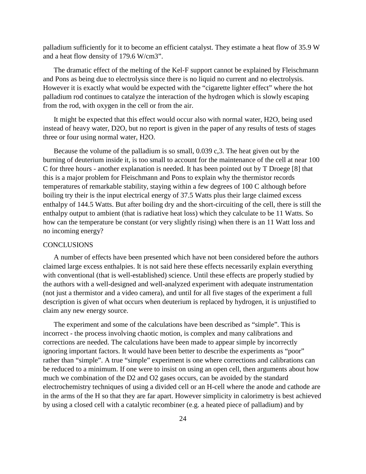palladium sufficiently for it to become an efficient catalyst. They estimate a heat flow of 35.9 W and a heat flow density of 179.6 W/cm3".

The dramatic effect of the melting of the Kel-F support cannot be explained by Fleischmann and Pons as being due to electrolysis since there is no liquid no current and no electrolysis. However it is exactly what would be expected with the "cigarette lighter effect" where the hot palladium rod continues to catalyze the interaction of the hydrogen which is slowly escaping from the rod, with oxygen in the cell or from the air.

It might be expected that this effect would occur also with normal water, H2O, being used instead of heavy water, D2O, but no report is given in the paper of any results of tests of stages three or four using normal water, H2O.

Because the volume of the palladium is so small, 0.039 c,3. The heat given out by the burning of deuterium inside it, is too small to account for the maintenance of the cell at near 100 C for three hours - another explanation is needed. It has been pointed out by T Droege [8] that this is a major problem for Fleischmann and Pons to explain why the thermistor records temperatures of remarkable stability, staying within a few degrees of 100 C although before boiling try their is the input electrical energy of 37.5 Watts plus their large claimed excess enthalpy of 144.5 Watts. But after boiling dry and the short-circuiting of the cell, there is still the enthalpy output to ambient (that is radiative heat loss) which they calculate to be 11 Watts. So how can the temperature be constant (or very slightly rising) when there is an 11 Watt loss and no incoming energy?

### **CONCLUSIONS**

A number of effects have been presented which have not been considered before the authors claimed large excess enthalpies. It is not said here these effects necessarily explain everything with conventional (that is well-established) science. Until these effects are properly studied by the authors with a well-designed and well-analyzed experiment with adequate instrumentation (not just a thermistor and a video camera), and until for all five stages of the experiment a full description is given of what occurs when deuterium is replaced by hydrogen, it is unjustified to claim any new energy source.

The experiment and some of the calculations have been described as "simple". This is incorrect - the process involving chaotic motion, is complex and many calibrations and corrections are needed. The calculations have been made to appear simple by incorrectly ignoring important factors. It would have been better to describe the experiments as "poor" rather than "simple". A true "simple" experiment is one where corrections and calibrations can be reduced to a minimum. If one were to insist on using an open cell, then arguments about how much we combination of the D2 and O2 gases occurs, can be avoided by the standard electrochemistry techniques of using a divided cell or an H-cell where the anode and cathode are in the arms of the H so that they are far apart. However simplicity in calorimetry is best achieved by using a closed cell with a catalytic recombiner (e.g. a heated piece of palladium) and by